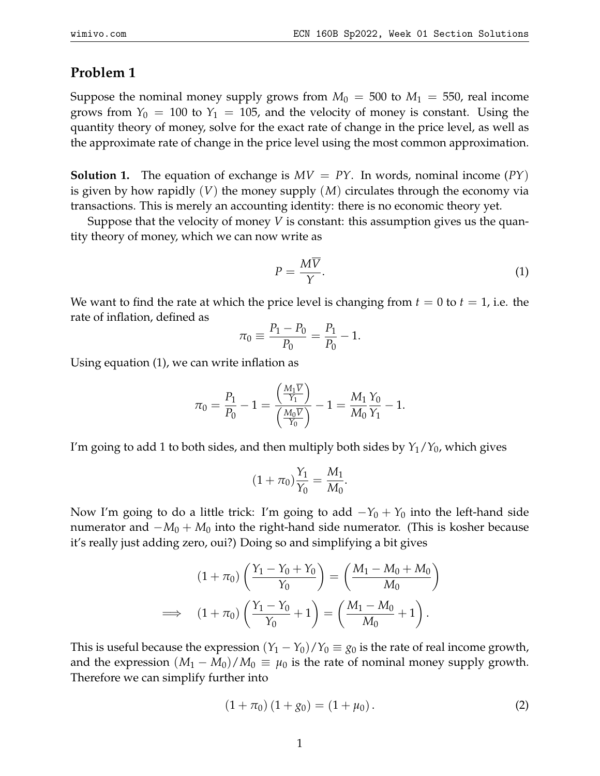## **Problem 1**

Suppose the nominal money supply grows from  $M_0 = 500$  to  $M_1 = 550$ , real income grows from  $Y_0 = 100$  to  $Y_1 = 105$ , and the velocity of money is constant. Using the quantity theory of money, solve for the exact rate of change in the price level, as well as the approximate rate of change in the price level using the most common approximation.

**Solution 1.** The equation of exchange is  $MV = PY$ . In words, nominal income  $PY$ ) is given by how rapidly (*V*) the money supply (*M*) circulates through the economy via transactions. This is merely an accounting identity: there is no economic theory yet.

Suppose that the velocity of money *V* is constant: this assumption gives us the quantity theory of money, which we can now write as

$$
P = \frac{M\overline{V}}{\gamma}.\tag{1}
$$

We want to find the rate at which the price level is changing from  $t = 0$  to  $t = 1$ , i.e. the rate of inflation, defined as

$$
\pi_0 \equiv \frac{P_1 - P_0}{P_0} = \frac{P_1}{P_0} - 1.
$$

Using equation (1), we can write inflation as

$$
\pi_0 = \frac{P_1}{P_0} - 1 = \frac{\left(\frac{M_1 \overline{V}}{Y_1}\right)}{\left(\frac{M_0 \overline{V}}{Y_0}\right)} - 1 = \frac{M_1 N_0}{M_0 Y_1} - 1.
$$

I'm going to add 1 to both sides, and then multiply both sides by *Y*1/*Y*0, which gives

$$
(1 + \pi_0) \frac{Y_1}{Y_0} = \frac{M_1}{M_0}.
$$

Now I'm going to do a little trick: I'm going to add  $-Y_0 + Y_0$  into the left-hand side numerator and  $-M_0 + M_0$  into the right-hand side numerator. (This is kosher because it's really just adding zero, oui?) Doing so and simplifying a bit gives

$$
(1 + \pi_0) \left( \frac{Y_1 - Y_0 + Y_0}{Y_0} \right) = \left( \frac{M_1 - M_0 + M_0}{M_0} \right)
$$
  

$$
\implies (1 + \pi_0) \left( \frac{Y_1 - Y_0}{Y_0} + 1 \right) = \left( \frac{M_1 - M_0}{M_0} + 1 \right).
$$

This is useful because the expression  $(Y_1 - Y_0)/Y_0 \equiv g_0$  is the rate of real income growth, and the expression  $(M_1 - M_0)/M_0 \equiv \mu_0$  is the rate of nominal money supply growth. Therefore we can simplify further into

$$
(1 + \pi_0) (1 + g_0) = (1 + \mu_0).
$$
 (2)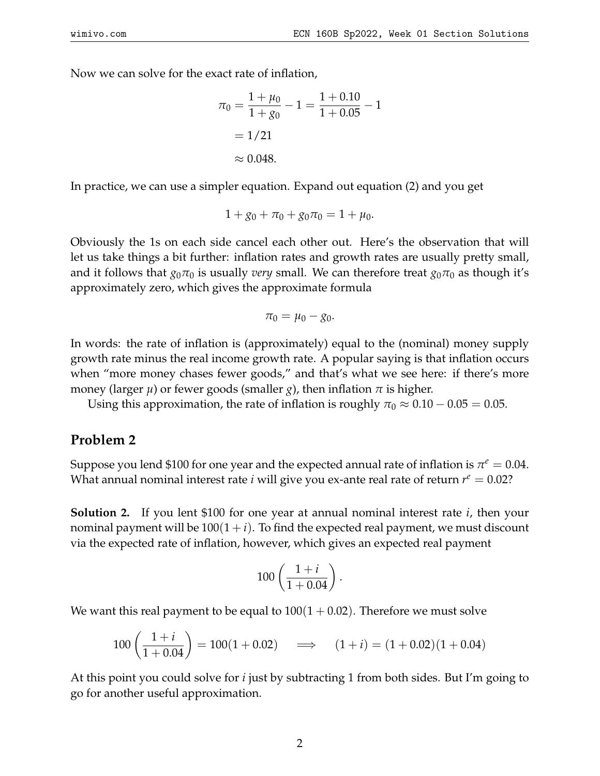Now we can solve for the exact rate of inflation,

$$
\pi_0 = \frac{1 + \mu_0}{1 + g_0} - 1 = \frac{1 + 0.10}{1 + 0.05} - 1
$$

$$
= 1/21
$$

$$
\approx 0.048.
$$

In practice, we can use a simpler equation. Expand out equation (2) and you get

$$
1 + g_0 + \pi_0 + g_0 \pi_0 = 1 + \mu_0.
$$

Obviously the 1s on each side cancel each other out. Here's the observation that will let us take things a bit further: inflation rates and growth rates are usually pretty small, and it follows that  $g_0\pi_0$  is usually *very* small. We can therefore treat  $g_0\pi_0$  as though it's approximately zero, which gives the approximate formula

$$
\pi_0=\mu_0-g_0.
$$

In words: the rate of inflation is (approximately) equal to the (nominal) money supply growth rate minus the real income growth rate. A popular saying is that inflation occurs when "more money chases fewer goods," and that's what we see here: if there's more money (larger  $\mu$ ) or fewer goods (smaller *g*), then inflation  $\pi$  is higher.

Using this approximation, the rate of inflation is roughly  $\pi_0 \approx 0.10 - 0.05 = 0.05$ .

## **Problem 2**

Suppose you lend \$100 for one year and the expected annual rate of inflation is  $\pi^e = 0.04$ . What annual nominal interest rate *i* will give you ex-ante real rate of return  $r^e = 0.02$ ?

**Solution 2.** If you lent \$100 for one year at annual nominal interest rate *i*, then your nominal payment will be  $100(1 + i)$ . To find the expected real payment, we must discount via the expected rate of inflation, however, which gives an expected real payment

$$
100\left(\frac{1+i}{1+0.04}\right).
$$

We want this real payment to be equal to  $100(1 + 0.02)$ . Therefore we must solve

$$
100\left(\frac{1+i}{1+0.04}\right) = 100(1+0.02) \quad \implies \quad (1+i) = (1+0.02)(1+0.04)
$$

At this point you could solve for *i* just by subtracting 1 from both sides. But I'm going to go for another useful approximation.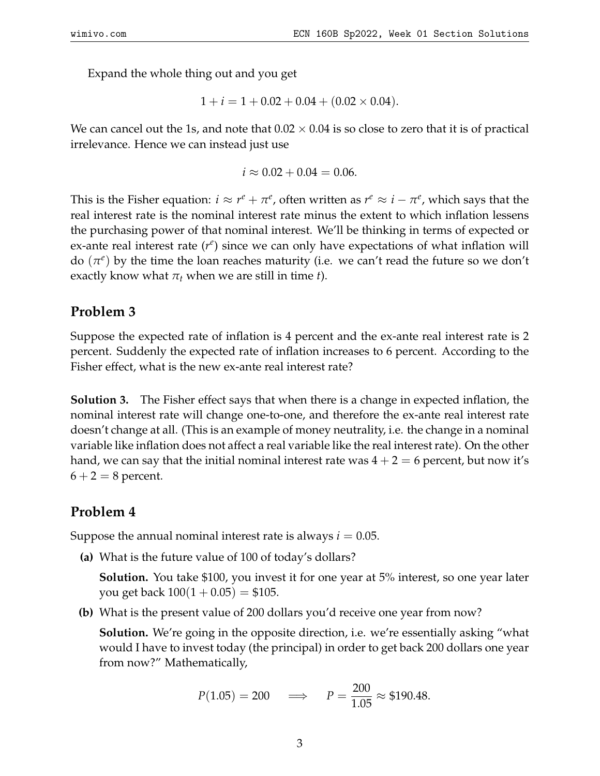Expand the whole thing out and you get

$$
1 + i = 1 + 0.02 + 0.04 + (0.02 \times 0.04).
$$

We can cancel out the 1s, and note that  $0.02 \times 0.04$  is so close to zero that it is of practical irrelevance. Hence we can instead just use

$$
i \approx 0.02 + 0.04 = 0.06.
$$

This is the Fisher equation:  $i \approx r^e + \pi^e$ , often written as  $r^e \approx i - \pi^e$ , which says that the real interest rate is the nominal interest rate minus the extent to which inflation lessens the purchasing power of that nominal interest. We'll be thinking in terms of expected or ex-ante real interest rate  $(r^e)$  since we can only have expectations of what inflation will do  $(\pi^e)$  by the time the loan reaches maturity (i.e. we can't read the future so we don't exactly know what  $\pi_t$  when we are still in time *t*).

## **Problem 3**

Suppose the expected rate of inflation is 4 percent and the ex-ante real interest rate is 2 percent. Suddenly the expected rate of inflation increases to 6 percent. According to the Fisher effect, what is the new ex-ante real interest rate?

**Solution 3.** The Fisher effect says that when there is a change in expected inflation, the nominal interest rate will change one-to-one, and therefore the ex-ante real interest rate doesn't change at all. (This is an example of money neutrality, i.e. the change in a nominal variable like inflation does not affect a real variable like the real interest rate). On the other hand, we can say that the initial nominal interest rate was  $4 + 2 = 6$  percent, but now it's  $6 + 2 = 8$  percent.

## **Problem 4**

Suppose the annual nominal interest rate is always  $i = 0.05$ .

**(a)** What is the future value of 100 of today's dollars?

**Solution.** You take \$100, you invest it for one year at 5% interest, so one year later you get back  $100(1 + 0.05) = $105$ .

**(b)** What is the present value of 200 dollars you'd receive one year from now?

**Solution.** We're going in the opposite direction, i.e. we're essentially asking "what would I have to invest today (the principal) in order to get back 200 dollars one year from now?" Mathematically,

$$
P(1.05) = 200
$$
  $\implies$   $P = \frac{200}{1.05} \approx $190.48.$